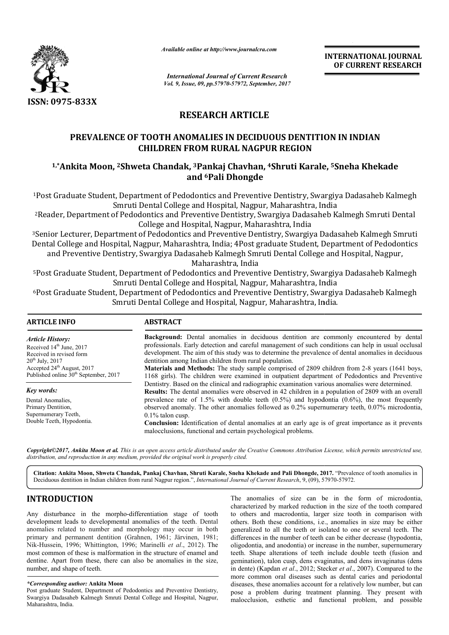

*Available online at http://www.journal http://www.journalcra.com*

# **RESEARCH ARTICLE**

## **PREVALENCE OF TOOTH ANOMALIES IN DECIDUOUS DENTITION IN INDIAN CHILDREN FROM RURAL NAGPUR REGION**

## **1,\*Ankita Moon, 2Shweta Chandak, Shweta 3Pankaj Chavhan, 4Shruti Karale, Shruti Karale, 5Sneha Khekade and 6Pali Dhongde**

|                                                                                                                                                                                                                                                                                                                                                                                                                                                                                                                                                                                                                                                                                                                                                     | л гипион опите иг пир.// www.journancra.com                                                                                                                                                                                                                                                                                                                                                                                                                                                                                                                                                                                                                                                                                                                                                                                                                                                                                                                                       |                                                                                                        | <b>INTERNATIONAL JOURNAL</b><br>OF CURRENT RESEARCH                                                                                                                                                                                                                                                                                                                                                                                                                                                                                                                                                                                                                                                                                                                                                                                                                                                                                                                                                              |  |  |  |  |
|-----------------------------------------------------------------------------------------------------------------------------------------------------------------------------------------------------------------------------------------------------------------------------------------------------------------------------------------------------------------------------------------------------------------------------------------------------------------------------------------------------------------------------------------------------------------------------------------------------------------------------------------------------------------------------------------------------------------------------------------------------|-----------------------------------------------------------------------------------------------------------------------------------------------------------------------------------------------------------------------------------------------------------------------------------------------------------------------------------------------------------------------------------------------------------------------------------------------------------------------------------------------------------------------------------------------------------------------------------------------------------------------------------------------------------------------------------------------------------------------------------------------------------------------------------------------------------------------------------------------------------------------------------------------------------------------------------------------------------------------------------|--------------------------------------------------------------------------------------------------------|------------------------------------------------------------------------------------------------------------------------------------------------------------------------------------------------------------------------------------------------------------------------------------------------------------------------------------------------------------------------------------------------------------------------------------------------------------------------------------------------------------------------------------------------------------------------------------------------------------------------------------------------------------------------------------------------------------------------------------------------------------------------------------------------------------------------------------------------------------------------------------------------------------------------------------------------------------------------------------------------------------------|--|--|--|--|
|                                                                                                                                                                                                                                                                                                                                                                                                                                                                                                                                                                                                                                                                                                                                                     |                                                                                                                                                                                                                                                                                                                                                                                                                                                                                                                                                                                                                                                                                                                                                                                                                                                                                                                                                                                   | <b>International Journal of Current Research</b><br>Vol. 9, Issue, 09, pp.57970-57972, September, 2017 |                                                                                                                                                                                                                                                                                                                                                                                                                                                                                                                                                                                                                                                                                                                                                                                                                                                                                                                                                                                                                  |  |  |  |  |
| ISSN: 0975-833X                                                                                                                                                                                                                                                                                                                                                                                                                                                                                                                                                                                                                                                                                                                                     |                                                                                                                                                                                                                                                                                                                                                                                                                                                                                                                                                                                                                                                                                                                                                                                                                                                                                                                                                                                   |                                                                                                        |                                                                                                                                                                                                                                                                                                                                                                                                                                                                                                                                                                                                                                                                                                                                                                                                                                                                                                                                                                                                                  |  |  |  |  |
|                                                                                                                                                                                                                                                                                                                                                                                                                                                                                                                                                                                                                                                                                                                                                     | <b>RESEARCH ARTICLE</b>                                                                                                                                                                                                                                                                                                                                                                                                                                                                                                                                                                                                                                                                                                                                                                                                                                                                                                                                                           |                                                                                                        |                                                                                                                                                                                                                                                                                                                                                                                                                                                                                                                                                                                                                                                                                                                                                                                                                                                                                                                                                                                                                  |  |  |  |  |
|                                                                                                                                                                                                                                                                                                                                                                                                                                                                                                                                                                                                                                                                                                                                                     | PREVALENCE OF TOOTH ANOMALIES IN DECIDUOUS DENTITION IN INDIAN<br><b>CHILDREN FROM RURAL NAGPUR REGION</b>                                                                                                                                                                                                                                                                                                                                                                                                                                                                                                                                                                                                                                                                                                                                                                                                                                                                        |                                                                                                        |                                                                                                                                                                                                                                                                                                                                                                                                                                                                                                                                                                                                                                                                                                                                                                                                                                                                                                                                                                                                                  |  |  |  |  |
|                                                                                                                                                                                                                                                                                                                                                                                                                                                                                                                                                                                                                                                                                                                                                     | <sup>1,*</sup> Ankita Moon, <sup>2</sup> Shweta Chandak, <sup>3</sup> Pankaj Chavhan, <sup>4</sup> Shruti Karale, <sup>5</sup> Sneha Khekade                                                                                                                                                                                                                                                                                                                                                                                                                                                                                                                                                                                                                                                                                                                                                                                                                                      | and <sup>6</sup> Pali Dhongde                                                                          |                                                                                                                                                                                                                                                                                                                                                                                                                                                                                                                                                                                                                                                                                                                                                                                                                                                                                                                                                                                                                  |  |  |  |  |
|                                                                                                                                                                                                                                                                                                                                                                                                                                                                                                                                                                                                                                                                                                                                                     | Smruti Dental College and Hospital, Nagpur, Maharashtra, India<br>College and Hospital, Nagpur, Maharashtra, India                                                                                                                                                                                                                                                                                                                                                                                                                                                                                                                                                                                                                                                                                                                                                                                                                                                                |                                                                                                        | <sup>1</sup> Post Graduate Student, Department of Pedodontics and Preventive Dentistry, Swargiya Dadasaheb Kalmegh<br><sup>2</sup> Reader, Department of Pedodontics and Preventive Dentistry, Swargiya Dadasaheb Kalmegh Smruti Dental<br><sup>3</sup> Senior Lecturer, Department of Pedodontics and Preventive Dentistry, Swargiya Dadasaheb Kalmegh Smruti<br>Dental College and Hospital, Nagpur, Maharashtra, India; 4Post graduate Student, Department of Pedodontics                                                                                                                                                                                                                                                                                                                                                                                                                                                                                                                                     |  |  |  |  |
|                                                                                                                                                                                                                                                                                                                                                                                                                                                                                                                                                                                                                                                                                                                                                     | and Preventive Dentistry, Swargiya Dadasaheb Kalmegh Smruti Dental College and Hospital, Nagpur,                                                                                                                                                                                                                                                                                                                                                                                                                                                                                                                                                                                                                                                                                                                                                                                                                                                                                  | Maharashtra, India                                                                                     |                                                                                                                                                                                                                                                                                                                                                                                                                                                                                                                                                                                                                                                                                                                                                                                                                                                                                                                                                                                                                  |  |  |  |  |
|                                                                                                                                                                                                                                                                                                                                                                                                                                                                                                                                                                                                                                                                                                                                                     | Smruti Dental College and Hospital, Nagpur, Maharashtra, India<br>Smruti Dental College and Hospital, Nagpur, Maharashtra, India.                                                                                                                                                                                                                                                                                                                                                                                                                                                                                                                                                                                                                                                                                                                                                                                                                                                 |                                                                                                        | <sup>5</sup> Post Graduate Student, Department of Pedodontics and Preventive Dentistry, Swargiya Dadasaheb Kalmegh<br><sup>6</sup> Post Graduate Student, Department of Pedodontics and Preventive Dentistry, Swargiya Dadasaheb Kalmegh                                                                                                                                                                                                                                                                                                                                                                                                                                                                                                                                                                                                                                                                                                                                                                         |  |  |  |  |
| <b>ARTICLE INFO</b>                                                                                                                                                                                                                                                                                                                                                                                                                                                                                                                                                                                                                                                                                                                                 | <b>ABSTRACT</b>                                                                                                                                                                                                                                                                                                                                                                                                                                                                                                                                                                                                                                                                                                                                                                                                                                                                                                                                                                   |                                                                                                        |                                                                                                                                                                                                                                                                                                                                                                                                                                                                                                                                                                                                                                                                                                                                                                                                                                                                                                                                                                                                                  |  |  |  |  |
| <b>Article History:</b><br>Received 14 <sup>th</sup> June, 2017<br>Received in revised form<br>$20^{th}$ July, $2017$<br>Accepted 24 <sup>th</sup> August, 2017<br>Published online 30 <sup>th</sup> September, 2017<br>Key words:<br>Dental Anomalies,<br>Primary Dentition,                                                                                                                                                                                                                                                                                                                                                                                                                                                                       | Background: Dental anomalies in deciduous dentition are commonly encountered by dental<br>professionals. Early detection and careful management of such conditions can help in usual occlusal<br>development. The aim of this study was to determine the prevalence of dental anomalies in deciduous<br>dentition among Indian children from rural population.<br>Materials and Methods: The study sample comprised of 2809 children from 2-8 years (1641 boys,<br>1168 girls). The children were examined in outpatient department of Pedodontics and Preventive<br>Dentistry. Based on the clinical and radiographic examination various anomalies were determined.<br>Results: The dental anomalies were observed in 42 children in a population of 2809 with an overall<br>prevalence rate of 1.5% with double teeth $(0.5%)$ and hypodontia $(0.6%)$ , the most frequently<br>observed anomaly. The other anomalies followed as 0.2% supernumerary teeth, 0.07% microdontia, |                                                                                                        |                                                                                                                                                                                                                                                                                                                                                                                                                                                                                                                                                                                                                                                                                                                                                                                                                                                                                                                                                                                                                  |  |  |  |  |
| Supernumerary Teeth,<br>Double Teeth, Hypodontia.                                                                                                                                                                                                                                                                                                                                                                                                                                                                                                                                                                                                                                                                                                   | $0.1\%$ talon cusp.<br>Conclusion: Identification of dental anomalies at an early age is of great importance as it prevents<br>malocclusions, functional and certain psychological problems.                                                                                                                                                                                                                                                                                                                                                                                                                                                                                                                                                                                                                                                                                                                                                                                      |                                                                                                        |                                                                                                                                                                                                                                                                                                                                                                                                                                                                                                                                                                                                                                                                                                                                                                                                                                                                                                                                                                                                                  |  |  |  |  |
|                                                                                                                                                                                                                                                                                                                                                                                                                                                                                                                                                                                                                                                                                                                                                     | distribution, and reproduction in any medium, provided the original work is properly cited.                                                                                                                                                                                                                                                                                                                                                                                                                                                                                                                                                                                                                                                                                                                                                                                                                                                                                       |                                                                                                        | Copyright©2017, Ankita Moon et al. This is an open access article distributed under the Creative Commons Attribution License, which permits unrestricted use,                                                                                                                                                                                                                                                                                                                                                                                                                                                                                                                                                                                                                                                                                                                                                                                                                                                    |  |  |  |  |
|                                                                                                                                                                                                                                                                                                                                                                                                                                                                                                                                                                                                                                                                                                                                                     | Deciduous dentition in Indian children from rural Nagpur region.", International Journal of Current Research, 9, (09), 57970-57972.                                                                                                                                                                                                                                                                                                                                                                                                                                                                                                                                                                                                                                                                                                                                                                                                                                               |                                                                                                        | Citation: Ankita Moon, Shweta Chandak, Pankaj Chavhan, Shruti Karale, Sneha Khekade and Pali Dhongde, 2017. "Prevalence of tooth anomalies in                                                                                                                                                                                                                                                                                                                                                                                                                                                                                                                                                                                                                                                                                                                                                                                                                                                                    |  |  |  |  |
| <b>INTRODUCTION</b><br>Any disturbance in the morpho-differentiation stage of tooth<br>development leads to developmental anomalies of the teeth. Dental<br>anomalies related to number and morphology may occur in both<br>primary and permanent dentition (Grahnen, 1961; Järvinen, 1981;<br>Nik-Hussein, 1996; Whittington, 1996; Marinelli et al., 2012). The<br>most common of these is malformation in the structure of enamel and<br>dentine. Apart from these, there can also be anomalies in the size,<br>number, and shape of teeth.<br><i>*Corresponding author: Ankita Moon</i><br>Post graduate Student, Department of Pedodontics and Preventive Dentistry,<br>Swargiya Dadasaheb Kalmegh Smruti Dental College and Hospital, Nagpur, |                                                                                                                                                                                                                                                                                                                                                                                                                                                                                                                                                                                                                                                                                                                                                                                                                                                                                                                                                                                   |                                                                                                        | The anomalies of size can be in the form of microdontia,<br>characterized by marked reduction in the size of the tooth compared<br>to others and macrodontia, larger size tooth in comparison with<br>others. Both these conditions, <i>i.e.</i> , anomalies in size may be either<br>generalized to all the teeth or isolated to one or several teeth. The<br>differences in the number of teeth can be either decrease (hypodontia,<br>oligodontia, and anodontia) or increase in the number, supernumerary<br>teeth. Shape alterations of teeth include double teeth (fusion and<br>gemination), talon cusp, dens evaginatus, and dens invaginatus (dens<br>in dente) (Kapdan et al., 2012; Stecker et al., 2007). Compared to the<br>more common oral diseases such as dental caries and periodontal<br>diseases, these anomalies account for a relatively low number, but can<br>pose a problem during treatment planning. They present with<br>malocclusion, esthetic and functional problem, and possible |  |  |  |  |

# **INTRODUCTION**

#### *\*Corresponding author:* **Ankita Moon**

Post graduate Student, Department of Pedodontics and Preventive Dentistry, Swargiya Dadasaheb Kalmegh Smruti Dental College and Hospital, Nagpur, Maharashtra, India.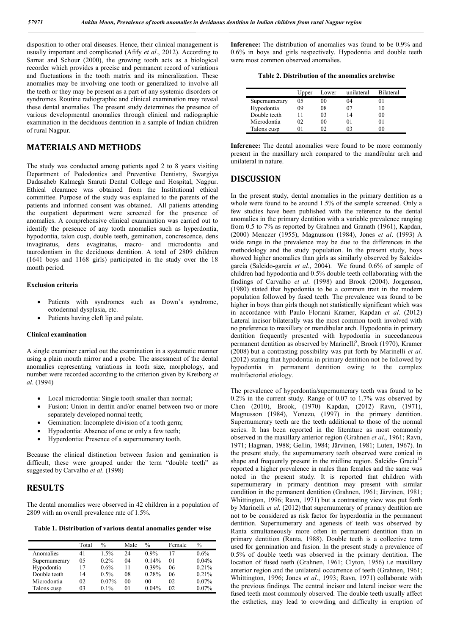disposition to other oral diseases. Hence, their clinical management is usually important and complicated (Afify *et al*., 2012). According to Sarnat and Schour (2000), the growing tooth acts as a biological recorder which provides a precise and permanent record of variations and fluctuations in the tooth matrix and its mineralization. These anomalies may be involving one tooth or generalized to involve all the teeth or they may be present as a part of any systemic disorders or syndromes. Routine radiographic and clinical examination may reveal these dental anomalies. The present study determines the presence of various developmental anomalies through clinical and radiographic examination in the deciduous dentition in a sample of Indian children of rural Nagpur.

## **MATERIALS AND METHODS**

The study was conducted among patients aged 2 to 8 years visiting Department of Pedodontics and Preventive Dentistry, Swargiya Dadasaheb Kalmegh Smruti Dental College and Hospital, Nagpur. Ethical clearance was obtained from the Institutional ethical committee. Purpose of the study was explained to the parents of the patients and informed consent was obtained. All patients attending the outpatient department were screened for the presence of anomalies. A comprehensive clinical examination was carried out to identify the presence of any tooth anomalies such as hyperdontia, hypodontia, talon cusp, double teeth, gemination, concrescence, dens invaginatus, dens evaginatus, macro- and microdontia and taurodontism in the deciduous dentition. A total of 2809 children (1641 boys and 1168 girls) participated in the study over the 18 month period.

#### **Exclusion criteria**

- Patients with syndromes such as Down's syndrome, ectodermal dysplasia, etc.
- Patients having cleft lip and palate.

#### **Clinical examination**

A single examiner carried out the examination in a systematic manner using a plain mouth mirror and a probe. The assessment of the dental anomalies representing variations in tooth size, morphology, and number were recorded according to the criterion given by Kreiborg *et al*. (1994)

- Local microdontia: Single tooth smaller than normal;
- Fusion: Union in dentin and/or enamel between two or more separately developed normal teeth;
- Gemination: Incomplete division of a tooth germ;
- Hypodontia: Absence of one or only a few teeth;
- Hyperdontia: Presence of a supernumerary tooth.

Because the clinical distinction between fusion and gemination is difficult, these were grouped under the term "double teeth" as suggested by Carvalho *et al*. (1998)

### **RESULTS**

The dental anomalies were observed in 42 children in a population of 2809 with an overall prevalence rate of 1.5%.

**Table 1. Distribution of various dental anomalies gender wise**

|               | Total | $\%$    | Male           | $\%$     | Female | $\%$    |
|---------------|-------|---------|----------------|----------|--------|---------|
| Anomalies     | 41    | 1.5%    | 24             | $0.9\%$  | 17     | $0.6\%$ |
| Supernumerary | 05    | $0.2\%$ | 04             | 0.14%    | 01     | 0.04%   |
| Hypodontia    | 17    | $0.6\%$ | 11             | $0.39\%$ | 06     | 0.21%   |
| Double teeth  | 14    | $0.5\%$ | 08             | 0.28%    | 06     | 0.21%   |
| Microdontia   | 02    | 0.07%   | 0 <sub>0</sub> | 00       | 02     | 0.07%   |
| Talons cusp   | 03    | $0.1\%$ | 01             | 0.04%    | 02     | 0.07%   |

**Inference:** The distribution of anomalies was found to be 0.9% and 0.6% in boys and girls respectively. Hypodontia and double teeth were most common observed anomalies.

|               | Upper | Lower          | unilateral | <b>Bilateral</b> |
|---------------|-------|----------------|------------|------------------|
| Supernumerary | 05    | 00             | 04         |                  |
| Hypodontia    | 09    | 08             | 07         | 10               |
| Double teeth  | 11    | 0 <sup>3</sup> | 14         | 00               |
| Microdontia   | 02    | 00             | 01         |                  |
| Talons cusp   |       | ∩ว             | በ3         | W)               |

**Inference:** The dental anomalies were found to be more commonly present in the maxillary arch compared to the mandibular arch and unilateral in nature.

#### **DISCUSSION**

In the present study, dental anomalies in the primary dentition as a whole were found to be around 1.5% of the sample screened. Only a few studies have been published with the reference to the dental anomalies in the primary dentition with a variable prevalence ranging from 0.5 to 7% as reported by Grahnen and Granath (1961), Kapdan, (2000) Menczer (1955), Magnusson (1984), Jones *et al*. (1993) A wide range in the prevalence may be due to the differences in the methodology and the study population. In the present study, boys showed higher anomalies than girls as similarly observed by Salcidogarcía (Salcido-garcía *et al*., 2004). We found 0.6% of sample of children had hypodontia and 0.5% double teeth collaborating with the findings of Carvalho *et al*. (1998) and Brook (2004). Jorgenson, (1980) stated that hypodontia to be a common trait in the modern population followed by fused teeth. The prevalence was found to be higher in boys than girls though not statistically significant which was in accordance with Paulo Floriani Kramer, Kapdan *et al*. (2012) Lateral incisor bilaterally was the most common tooth involved with no preference to maxillary or mandibular arch. Hypodontia in primary dentition frequently presented with hypodontia in succedaneous permanent dentition as observed by Marinelli<sup>5</sup>, Brook (1970), Kramer (2008) but a contrasting possibility was put forth by Marinelli *et al*. (2012) stating that hypodontia in primary dentition not be followed by hypodontia in permanent dentition owing to the complex multifactorial etiology.

The prevalence of hyperdontia/supernumerary teeth was found to be 0.2% in the current study. Range of 0.07 to 1.7% was observed by Chen (2010), Brook, (1970) Kapdan, (2012) Ravn, (1971), Magnusson (1984), Yonezu, (1997) in the primary dentition. Supernumerary teeth are the teeth additional to those of the normal series. It has been reported in the literature as most commonly observed in the maxillary anterior region (Grahnen *et al*., 1961; Ravn, 1971; Hagman, 1988; Gellin, 1984; Järvinen, 1981; Luten, 1967). In the present study, the supernumerary teeth observed were conical in shape and frequently present in the midline region. Salcido- Gracia<sup>15</sup> reported a higher prevalence in males than females and the same was noted in the present study. It is reported that children with supernumerary in primary dentition may present with similar condition in the permanent dentition (Grahnen, 1961; Järvinen, 1981; Whittington, 1996; Ravn, 1971) but a contrasting view was put forth by Marinelli *et al*. (2012) that supernumerary of primary dentition are not to be considered as risk factor for hyperdontia in the permanent dentition. Supernumerary and agenesis of teeth was observed by Ranta simultaneously more often in permanent dentition than in primary dentition (Ranta, 1988). Double teeth is a collective term used for germination and fusion. In the present study a prevalence of 0.5% of double teeth was observed in the primary dentition. The location of fused teeth (Grahnen, 1961; Clyton, 1956) i.e maxillary anterior region and the unilateral occurrence of teeth (Grahnen, 1961; Whittington, 1996; Jones *et al*., 1993; Ravn, 1971) collaborate with the previous findings. The central incisor and lateral incisor were the fused teeth most commonly observed. The double teeth usually affect the esthetics, may lead to crowding and difficulty in eruption of